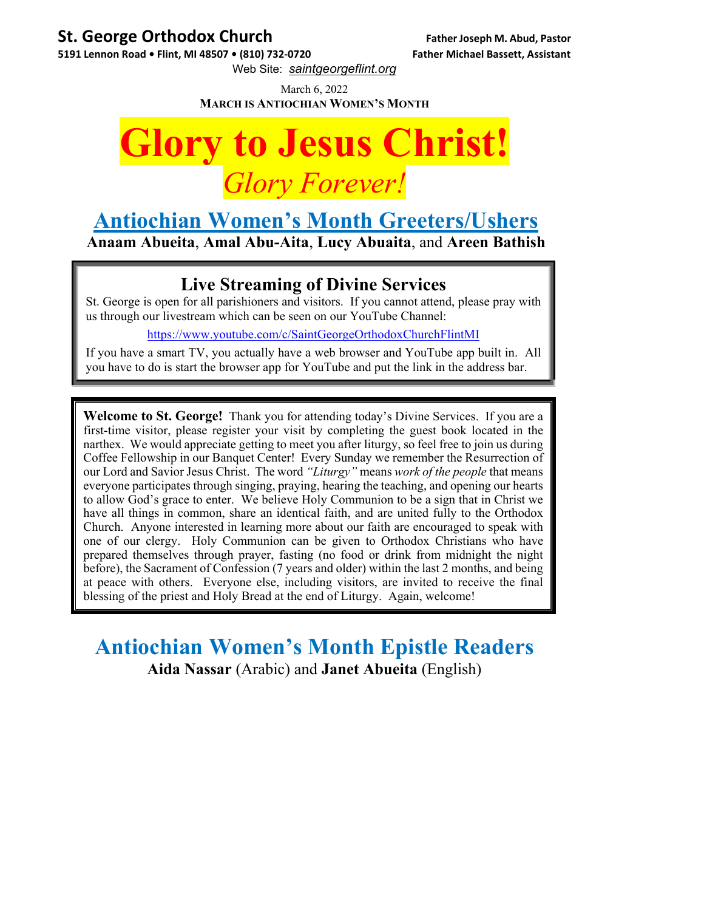## **St. George Orthodox Church Father Joseph M. Abud, Pastor**

**5191 Lennon Road • Flint, MI 48507 • (810) 732‐0720 Father Michael Bassett, Assistant**

Web Site: *saintgeorgeflint.org*

March 6, 2022 **MARCH IS ANTIOCHIAN WOMEN'S MONTH**



# **Antiochian Women's Month Greeters/Ushers**

**Anaam Abueita**, **Amal Abu-Aita**, **Lucy Abuaita**, and **Areen Bathish** 

## **Live Streaming of Divine Services**

St. George is open for all parishioners and visitors. If you cannot attend, please pray with us through our livestream which can be seen on our YouTube Channel:

https://www.youtube.com/c/SaintGeorgeOrthodoxChurchFlintMI

If you have a smart TV, you actually have a web browser and YouTube app built in. All you have to do is start the browser app for YouTube and put the link in the address bar.

**Welcome to St. George!** Thank you for attending today's Divine Services. If you are a first-time visitor, please register your visit by completing the guest book located in the narthex. We would appreciate getting to meet you after liturgy, so feel free to join us during Coffee Fellowship in our Banquet Center! Every Sunday we remember the Resurrection of our Lord and Savior Jesus Christ. The word *"Liturgy"* means *work of the people* that means everyone participates through singing, praying, hearing the teaching, and opening our hearts to allow God's grace to enter. We believe Holy Communion to be a sign that in Christ we have all things in common, share an identical faith, and are united fully to the Orthodox Church. Anyone interested in learning more about our faith are encouraged to speak with one of our clergy. Holy Communion can be given to Orthodox Christians who have prepared themselves through prayer, fasting (no food or drink from midnight the night before), the Sacrament of Confession (7 years and older) within the last 2 months, and being at peace with others. Everyone else, including visitors, are invited to receive the final blessing of the priest and Holy Bread at the end of Liturgy. Again, welcome!

**Antiochian Women's Month Epistle Readers Aida Nassar** (Arabic) and **Janet Abueita** (English)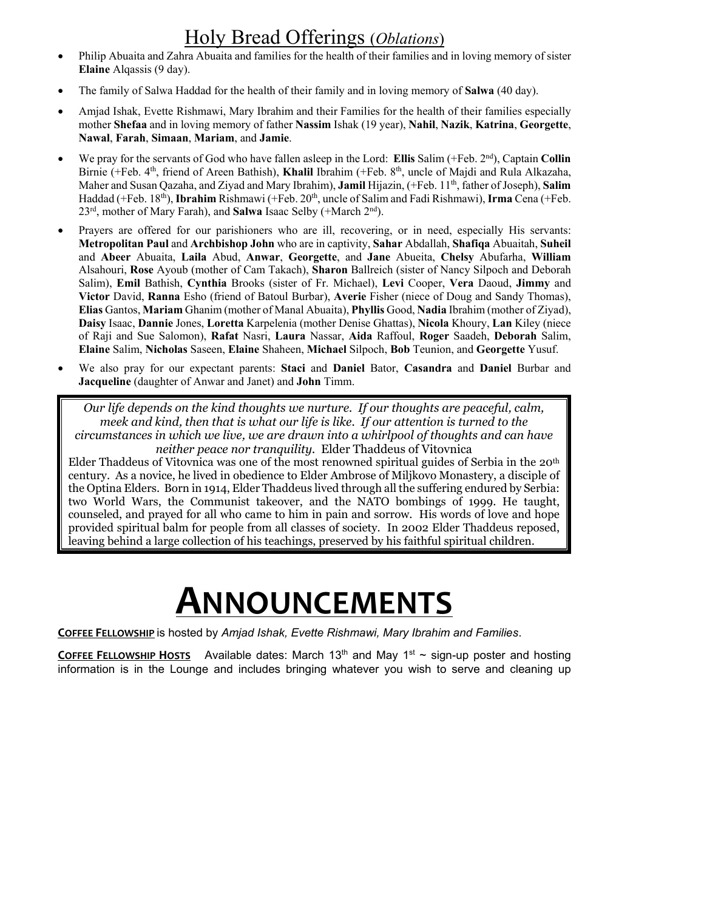# Holy Bread Offerings (*Oblations*)

- Philip Abuaita and Zahra Abuaita and families for the health of their families and in loving memory of sister **Elaine** Alqassis (9 day).
- The family of Salwa Haddad for the health of their family and in loving memory of **Salwa** (40 day).
- Amjad Ishak, Evette Rishmawi, Mary Ibrahim and their Families for the health of their families especially mother **Shefaa** and in loving memory of father **Nassim** Ishak (19 year), **Nahil**, **Nazik**, **Katrina**, **Georgette**, **Nawal**, **Farah**, **Simaan**, **Mariam**, and **Jamie**.
- We pray for the servants of God who have fallen asleep in the Lord: **Ellis** Salim (+Feb. 2<sup>nd</sup>), Captain **Collin** Birnie (+Feb. 4th, friend of Areen Bathish), **Khalil** Ibrahim (+Feb. 8th, uncle of Majdi and Rula Alkazaha, Maher and Susan Qazaha, and Ziyad and Mary Ibrahim), **Jamil** Hijazin, (+Feb. 11th, father of Joseph), **Salim** Haddad (+Feb. 18<sup>th</sup>), **Ibrahim** Rishmawi (+Feb. 20<sup>th</sup>, uncle of Salim and Fadi Rishmawi), **Irma** Cena (+Feb. 23rd, mother of Mary Farah), and **Salwa** Isaac Selby (+March 2nd).
- Prayers are offered for our parishioners who are ill, recovering, or in need, especially His servants: **Metropolitan Paul** and **Archbishop John** who are in captivity, **Sahar** Abdallah, **Shafiqa** Abuaitah, **Suheil**  and **Abeer** Abuaita, **Laila** Abud, **Anwar**, **Georgette**, and **Jane** Abueita, **Chelsy** Abufarha, **William** Alsahouri, **Rose** Ayoub (mother of Cam Takach), **Sharon** Ballreich (sister of Nancy Silpoch and Deborah Salim), **Emil** Bathish, **Cynthia** Brooks (sister of Fr. Michael), **Levi** Cooper, **Vera** Daoud, **Jimmy** and **Victor** David, **Ranna** Esho (friend of Batoul Burbar), **Averie** Fisher (niece of Doug and Sandy Thomas), **Elias** Gantos, **Mariam** Ghanim (mother of Manal Abuaita), **Phyllis** Good, **Nadia** Ibrahim (mother of Ziyad), **Daisy** Isaac, **Dannie** Jones, **Loretta** Karpelenia (mother Denise Ghattas), **Nicola** Khoury, **Lan** Kiley (niece of Raji and Sue Salomon), **Rafat** Nasri, **Laura** Nassar, **Aida** Raffoul, **Roger** Saadeh, **Deborah** Salim, **Elaine** Salim, **Nicholas** Saseen, **Elaine** Shaheen, **Michael** Silpoch, **Bob** Teunion, and **Georgette** Yusuf.
- We also pray for our expectant parents: **Staci** and **Daniel** Bator, **Casandra** and **Daniel** Burbar and **Jacqueline** (daughter of Anwar and Janet) and **John** Timm.

*Our life depends on the kind thoughts we nurture. If our thoughts are peaceful, calm, meek and kind, then that is what our life is like. If our attention is turned to the circumstances in which we live, we are drawn into a whirlpool of thoughts and can have neither peace nor tranquility.* Elder Thaddeus of Vitovnica

Elder Thaddeus of Vitovnica was one of the most renowned spiritual guides of Serbia in the 20th century. As a novice, he lived in obedience to Elder Ambrose of Miljkovo Monastery, a disciple of the Optina Elders. Born in 1914, Elder Thaddeus lived through all the suffering endured by Serbia: two World Wars, the Communist takeover, and the NATO bombings of 1999. He taught, counseled, and prayed for all who came to him in pain and sorrow. His words of love and hope provided spiritual balm for people from all classes of society. In 2002 Elder Thaddeus reposed, leaving behind a large collection of his teachings, preserved by his faithful spiritual children.

# **ANNOUNCEMENTS**

**COFFEE FELLOWSHIP** is hosted by *Amjad Ishak, Evette Rishmawi, Mary Ibrahim and Families*.

**COFFEE FELLOWSHIP HOSTS** Available dates: March  $13<sup>th</sup>$  and May  $1<sup>st</sup>$  ~ sign-up poster and hosting information is in the Lounge and includes bringing whatever you wish to serve and cleaning up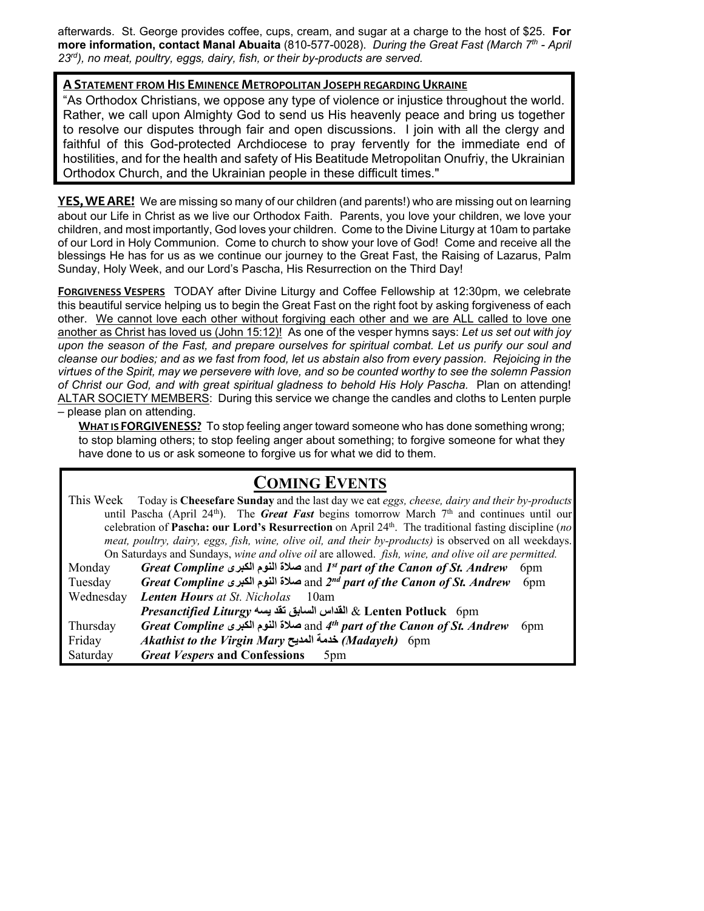afterwards. St. George provides coffee, cups, cream, and sugar at a charge to the host of \$25. **For more information, contact Manal Abuaita** (810-577-0028). *During the Great Fast (March 7th - April 23rd), no meat, poultry, eggs, dairy, fish, or their by-products are served.* 

#### **A STATEMENT FROM HIS EMINENCE METROPOLITAN JOSEPH REGARDING UKRAINE**

"As Orthodox Christians, we oppose any type of violence or injustice throughout the world. Rather, we call upon Almighty God to send us His heavenly peace and bring us together to resolve our disputes through fair and open discussions. I join with all the clergy and faithful of this God-protected Archdiocese to pray fervently for the immediate end of hostilities, and for the health and safety of His Beatitude Metropolitan Onufriy, the Ukrainian Orthodox Church, and the Ukrainian people in these difficult times."

**YES,WEARE!** We are missing so many of our children (and parents!) who are missing out on learning about our Life in Christ as we live our Orthodox Faith. Parents, you love your children, we love your children, and most importantly, God loves your children. Come to the Divine Liturgy at 10am to partake of our Lord in Holy Communion. Come to church to show your love of God! Come and receive all the blessings He has for us as we continue our journey to the Great Fast, the Raising of Lazarus, Palm Sunday, Holy Week, and our Lord's Pascha, His Resurrection on the Third Day!

**FORGIVENESS VESPERS** TODAY after Divine Liturgy and Coffee Fellowship at 12:30pm, we celebrate this beautiful service helping us to begin the Great Fast on the right foot by asking forgiveness of each other. We cannot love each other without forgiving each other and we are ALL called to love one another as Christ has loved us (John 15:12)! As one of the vesper hymns says: *Let us set out with joy upon the season of the Fast, and prepare ourselves for spiritual combat. Let us purify our soul and cleanse our bodies; and as we fast from food, let us abstain also from every passion. Rejoicing in the virtues of the Spirit, may we persevere with love, and so be counted worthy to see the solemn Passion of Christ our God, and with great spiritual gladness to behold His Holy Pascha.* Plan on attending! ALTAR SOCIETY MEMBERS: During this service we change the candles and cloths to Lenten purple – please plan on attending.

**WHAT IS FORGIVENESS?** To stop feeling anger toward someone who has done something wrong; to stop blaming others; to stop feeling anger about something; to forgive someone for what they have done to us or ask someone to forgive us for what we did to them.

## **COMING EVENTS**

This Week Today is **Cheesefare Sunday** and the last day we eat *eggs, cheese, dairy and their by-products*  until Pascha (April 24<sup>th</sup>). The *Great Fast* begins tomorrow March  $7<sup>th</sup>$  and continues until our celebration of **Pascha: our Lord's Resurrection** on April 24th. The traditional fasting discipline (*no meat, poultry, dairy, eggs, fish, wine, olive oil, and their by-products)* is observed on all weekdays. On Saturdays and Sundays, *wine and olive oil* are allowed. *fish, wine, and olive oil are permitted.*

| Monday    | Great Compline صلاة النوم الكبرى and 1st part of the Canon of St. Andrew             | 6 <sub>pm</sub> |
|-----------|--------------------------------------------------------------------------------------|-----------------|
| Tuesday   | Great Compline صلاة النوم الكبرى and 2 <sup>nd</sup> part of the Canon of St. Andrew | 6 <sub>pm</sub> |
| Wednesday | <b>Lenten Hours</b> at St. Nicholas<br>10am                                          |                 |
|           | Enten Potluck 6pm القداس السابق تقد يسه Presanctified Liturgy                        |                 |
| Thursday  | Great Compline صلاة النوم الكبرى and 4 <sup>th</sup> part of the Canon of St. Andrew | 6 <sub>pm</sub> |
| Friday    | Akathist to the Virgin Mary خدمة المديح (Madayeh) 6pm                                |                 |
| Saturday  | <b>Great Vespers and Confessions</b><br>5pm                                          |                 |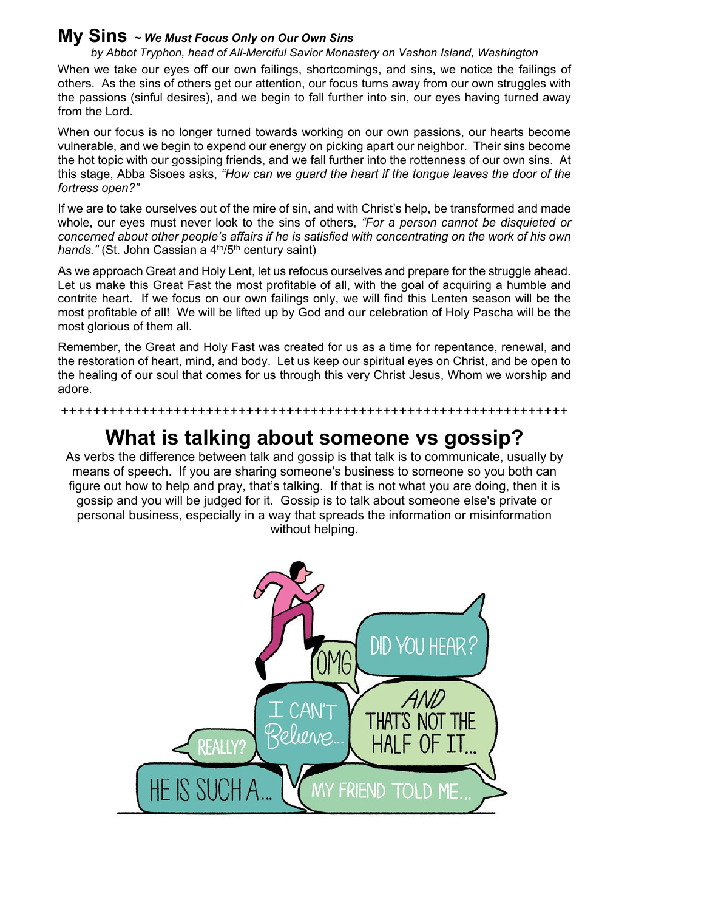### **My Sins <sup>~</sup>** *We Must Focus Only on Our Own Sins*

*by Abbot Tryphon, head of All-Merciful Savior Monastery on Vashon Island, Washington* 

When we take our eyes off our own failings, shortcomings, and sins, we notice the failings of others. As the sins of others get our attention, our focus turns away from our own struggles with the passions (sinful desires), and we begin to fall further into sin, our eyes having turned away from the Lord.

When our focus is no longer turned towards working on our own passions, our hearts become vulnerable, and we begin to expend our energy on picking apart our neighbor. Their sins become the hot topic with our gossiping friends, and we fall further into the rottenness of our own sins. At this stage, Abba Sisoes asks, *"How can we guard the heart if the tongue leaves the door of the fortress open?"*

If we are to take ourselves out of the mire of sin, and with Christ's help, be transformed and made whole, our eyes must never look to the sins of others, *"For a person cannot be disquieted or concerned about other people's affairs if he is satisfied with concentrating on the work of his own hands."* (St. John Cassian a 4<sup>th</sup>/5<sup>th</sup> century saint)

As we approach Great and Holy Lent, let us refocus ourselves and prepare for the struggle ahead. Let us make this Great Fast the most profitable of all, with the goal of acquiring a humble and contrite heart. If we focus on our own failings only, we will find this Lenten season will be the most profitable of all! We will be lifted up by God and our celebration of Holy Pascha will be the most glorious of them all.

Remember, the Great and Holy Fast was created for us as a time for repentance, renewal, and the restoration of heart, mind, and body. Let us keep our spiritual eyes on Christ, and be open to the healing of our soul that comes for us through this very Christ Jesus, Whom we worship and adore.

# **What is talking about someone vs gossip?**

+++++++++++++++++++++++++++++++++++++++++++++++++++++++++++++++

As verbs the difference between talk and gossip is that talk is to communicate, usually by means of speech. If you are sharing someone's business to someone so you both can figure out how to help and pray, that's talking. If that is not what you are doing, then it is gossip and you will be judged for it. Gossip is to talk about someone else's private or personal business, especially in a way that spreads the information or misinformation without helping.